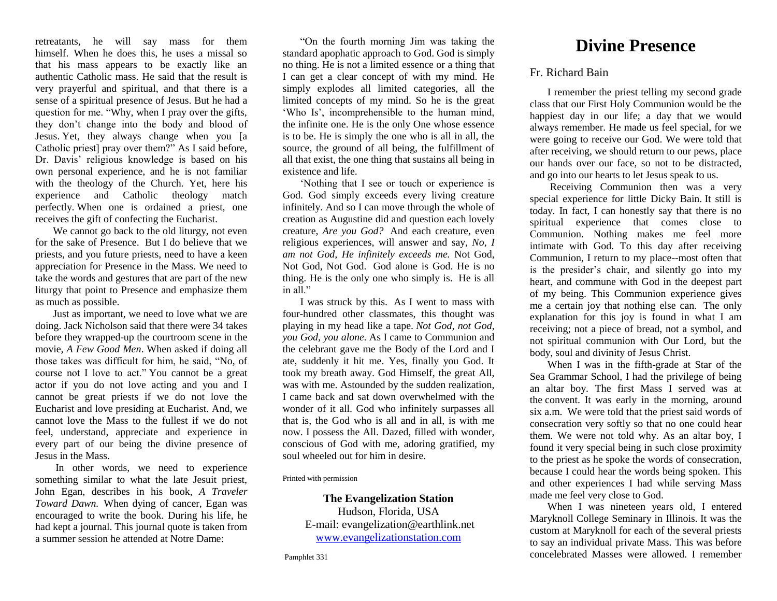retreatants, he will say mass for them himself. When he does this, he uses a missal so that his mass appears to be exactly like an authentic Catholic mass. He said that the result is very prayerful and spiritual, and that there is a sense of a spiritual presence of Jesus. But he had a question for me. "Why, when I pray over the gifts, they don't change into the body and blood of Jesus. Yet, they always change when you [a Catholic priest] pray over them?" As I said before, Dr. Davis' religious knowledge is based on his own personal experience, and he is not familiar with the theology of the Church. Yet, here his experience and Catholic theology match perfectly. When one is ordained a priest, one receives the gift of confecting the Eucharist.

We cannot go back to the old liturgy, not even for the sake of Presence. But I do believe that we priests, and you future priests, need to have a keen appreciation for Presence in the Mass. We need to take the words and gestures that are part of the new liturgy that point to Presence and emphasize them as much as possible.

Just as important, we need to love what we are doing. Jack Nicholson said that there were 34 takes before they wrapped-up the courtroom scene in the movie*, A Few Good Men*. When asked if doing all those takes was difficult for him, he said, "No, of course not I love to act." You cannot be a great actor if you do not love acting and you and I cannot be great priests if we do not love the Eucharist and love presiding at Eucharist. And, we cannot love the Mass to the fullest if we do not feel, understand, appreciate and experience in every part of our being the divine presence of Jesus in the Mass.

In other words, we need to experience something similar to what the late Jesuit priest, John Egan, describes in his book, *A Traveler Toward Dawn.* When dying of cancer, Egan was encouraged to write the book. During his life, he had kept a journal. This journal quote is taken from a summer session he attended at Notre Dame:

"On the fourth morning Jim was taking the standard apophatic approach to God. God is simply no thing. He is not a limited essence or a thing that I can get a clear concept of with my mind. He simply explodes all limited categories, all the limited concepts of my mind. So he is the great 'Who Is', incomprehensible to the human mind, the infinite one. He is the only One whose essence is to be. He is simply the one who is all in all, the source, the ground of all being, the fulfillment of all that exist, the one thing that sustains all being in existence and life.

'Nothing that I see or touch or experience is God. God simply exceeds every living creature infinitely. And so I can move through the whole of creation as Augustine did and question each lovely creature, *Are you God?* And each creature, even religious experiences, will answer and say, *No, I am not God, He infinitely exceeds me.* Not God, Not God, Not God. God alone is God. He is no thing. He is the only one who simply is. He is all in all."

I was struck by this. As I went to mass with four-hundred other classmates, this thought was playing in my head like a tape. *Not God, not God, you God, you alone.* As I came to Communion and the celebrant gave me the Body of the Lord and I ate, suddenly it hit me. Yes, finally you God. It took my breath away. God Himself, the great All, was with me. Astounded by the sudden realization, I came back and sat down overwhelmed with the wonder of it all. God who infinitely surpasses all that is, the God who is all and in all, is with me now. I possess the All. Dazed, filled with wonder, conscious of God with me, adoring gratified, my soul wheeled out for him in desire.

Printed with permission

## **The Evangelization Station**

Hudson, Florida, USA E-mail: evangelization@earthlink.net [www.evangelizationstation.com](http://www.pjpiisoe.org/)

## **Divine Presence**

## Fr. Richard Bain

I remember the priest telling my second grade class that our First Holy Communion would be the happiest day in our life; a day that we would always remember. He made us feel special, for we were going to receive our God. We were told that after receiving, we should return to our pews, place our hands over our face, so not to be distracted, and go into our hearts to let Jesus speak to us.

Receiving Communion then was a very special experience for little Dicky Bain. It still is today. In fact, I can honestly say that there is no spiritual experience that comes close to Communion. Nothing makes me feel more intimate with God. To this day after receiving Communion, I return to my place--most often that is the presider's chair, and silently go into my heart, and commune with God in the deepest part of my being. This Communion experience gives me a certain joy that nothing else can. The only explanation for this joy is found in what I am receiving; not a piece of bread, not a symbol, and not spiritual communion with Our Lord, but the body, soul and divinity of Jesus Christ.

When I was in the fifth-grade at Star of the Sea Grammar School, I had the privilege of being an altar boy. The first Mass I served was at the convent. It was early in the morning, around six a.m. We were told that the priest said words of consecration very softly so that no one could hear them. We were not told why. As an altar boy, I found it very special being in such close proximity to the priest as he spoke the words of consecration, because I could hear the words being spoken. This and other experiences I had while serving Mass made me feel very close to God.

When I was nineteen years old, I entered Maryknoll College Seminary in Illinois. It was the custom at Maryknoll for each of the several priests to say an individual private Mass. This was before concelebrated Masses were allowed. I remember